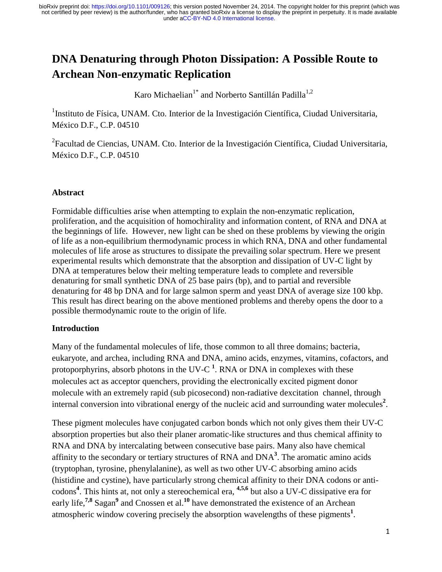# **DNA Denaturing through Photon Dissipation: A Possible Route to Archean Non-enzymatic Replication**

Karo Michaelian<sup>1\*</sup> and Norberto Santillán Padilla<sup>1,2</sup>

<sup>1</sup>Instituto de Física, UNAM. Cto. Interior de la Investigación Científica, Ciudad Universitaria, México D.F., C.P. 04510

<sup>2</sup> Facultad de Ciencias, UNAM. Cto. Interior de la Investigación Científica, Ciudad Universitaria, México D.F., C.P. 04510

## **Abstract**

Formidable difficulties arise when attempting to explain the non-enzymatic replication, proliferation, and the acquisition of homochirality and information content, of RNA and DNA at the beginnings of life. However, new light can be shed on these problems by viewing the origin of life as a non-equilibrium thermodynamic process in which RNA, DNA and other fundamental molecules of life arose as structures to dissipate the prevailing solar spectrum. Here we present experimental results which demonstrate that the absorption and dissipation of UV-C light by DNA at temperatures below their melting temperature leads to complete and reversible denaturing for small synthetic DNA of 25 base pairs (bp), and to partial and reversible denaturing for 48 bp DNA and for large salmon sperm and yeast DNA of average size 100 kbp. This result has direct bearing on the above mentioned problems and thereby opens the door to a possible thermodynamic route to the origin of life.

### **Introduction**

Many of the fundamental molecules of life, those common to all three domains; bacteria, eukaryote, and archea, including RNA and DNA, amino acids, enzymes, vitamins, cofactors, and protoporphyrins, absorb photons in the UV-C<sup>1</sup>. RNA or DNA in complexes with these molecules act as acceptor quenchers, providing the electronically excited pigment donor molecule with an extremely rapid (sub picosecond) non-radiative dexcitation channel, through internal conversion into vibrational energy of the nucleic acid and surrounding water molecules<sup>2</sup>.

These pigment molecules have conjugated carbon bonds which not only gives them their UV-C absorption properties but also their planer aromatic-like structures and thus chemical affinity to RNA and DNA by intercalating between consecutive base pairs. Many also have chemical affinity to the secondary or tertiary structures of RNA and DNA**<sup>3</sup>** . The aromatic amino acids (tryptophan, tyrosine, phenylalanine), as well as two other UV-C absorbing amino acids (histidine and cystine), have particularly strong chemical affinity to their DNA codons or anticodons**<sup>4</sup>** . This hints at, not only a stereochemical era, **4,5,6** but also a UV-C dissipative era for early life,<sup>7,8</sup> Sagan<sup>9</sup> and Cnossen et al.<sup>10</sup> have demonstrated the existence of an Archean atmospheric window covering precisely the absorption wavelengths of these pigments**<sup>1</sup>** .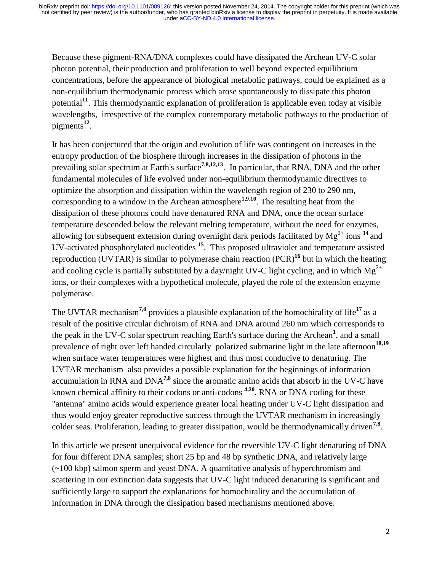Because these pigment-RNA/DNA complexes could have dissipated the Archean UV-C solar photon potential, their production and proliferation to well beyond expected equilibrium concentrations, before the appearance of biological metabolic pathways, could be explained as a non-equilibrium thermodynamic process which arose spontaneously to dissipate this photon potential**<sup>11</sup>** . This thermodynamic explanation of proliferation is applicable even today at visible wavelengths, irrespective of the complex contemporary metabolic pathways to the production of pigments**<sup>12</sup>** .

It has been conjectured that the origin and evolution of life was contingent on increases in the entropy production of the biosphere through increases in the dissipation of photons in the prevailing solar spectrum at Earth's surface**7,8,12,13**. In particular, that RNA, DNA and the other fundamental molecules of life evolved under non-equilibrium thermodynamic directives to optimize the absorption and dissipation within the wavelength region of 230 to 290 nm, corresponding to a window in the Archean atmosphere<sup>1,9,10</sup>. The resulting heat from the dissipation of these photons could have denatured RNA and DNA, once the ocean surface temperature descended below the relevant melting temperature, without the need for enzymes, allowing for subsequent extension during overnight dark periods facilitated by  $Mg^{2+}$  ions <sup>14</sup> and UV-activated phosphorylated nucleotides **<sup>15</sup>**. This proposed ultraviolet and temperature assisted reproduction (UVTAR) is similar to polymerase chain reaction (PCR)**<sup>16</sup>** but in which the heating and cooling cycle is partially substituted by a day/night UV-C light cycling, and in which  $Mg^{2+}$ ions, or their complexes with a hypothetical molecule, played the role of the extension enzyme polymerase.

The UVTAR mechanism**7,8** provides a plausible explanation of the homochirality of life**<sup>17</sup>** as a result of the positive circular dichroism of RNA and DNA around 260 nm which corresponds to the peak in the UV-C solar spectrum reaching Earth's surface during the Archean**<sup>1</sup>** , and a small prevalence of right over left handed circularly polarized submarine light in the late afternoon<sup>18,19</sup> when surface water temperatures were highest and thus most conducive to denaturing. The UVTAR mechanism also provides a possible explanation for the beginnings of information accumulation in RNA and DNA**7,8** since the aromatic amino acids that absorb in the UV-C have known chemical affinity to their codons or anti-codons **4,20**. RNA or DNA coding for these "antenna" amino acids would experience greater local heating under UV-C light dissipation and thus would enjoy greater reproductive success through the UVTAR mechanism in increasingly colder seas. Proliferation, leading to greater dissipation, would be thermodynamically driven**7,8** .

In this article we present unequivocal evidence for the reversible UV-C light denaturing of DNA for four different DNA samples; short 25 bp and 48 bp synthetic DNA, and relatively large (~100 kbp) salmon sperm and yeast DNA. A quantitative analysis of hyperchromism and scattering in our extinction data suggests that UV-C light induced denaturing is significant and sufficiently large to support the explanations for homochirality and the accumulation of information in DNA through the dissipation based mechanisms mentioned above.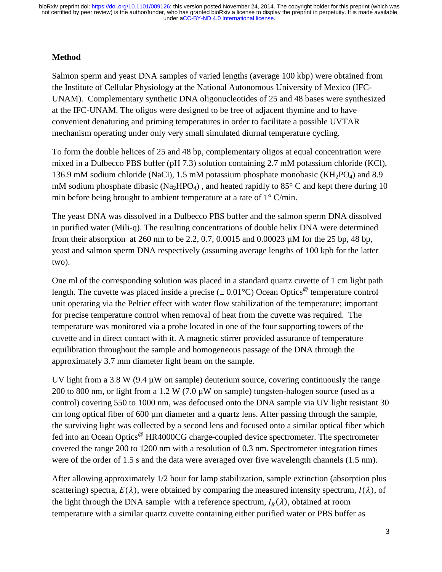## **Method**

Salmon sperm and yeast DNA samples of varied lengths (average 100 kbp) were obtained from the Institute of Cellular Physiology at the National Autonomous University of Mexico (IFC-UNAM). Complementary synthetic DNA oligonucleotides of 25 and 48 bases were synthesized at the IFC-UNAM. The oligos were designed to be free of adjacent thymine and to have convenient denaturing and priming temperatures in order to facilitate a possible UVTAR mechanism operating under only very small simulated diurnal temperature cycling.

To form the double helices of 25 and 48 bp, complementary oligos at equal concentration were mixed in a Dulbecco PBS buffer (pH 7.3) solution containing 2.7 mM potassium chloride (KCl), 136.9 mM sodium chloride (NaCl), 1.5 mM potassium phosphate monobasic ( $KH_2PO_4$ ) and 8.9 mM sodium phosphate dibasic (Na<sub>2</sub>HPO<sub>4</sub>), and heated rapidly to  $85^{\circ}$  C and kept there during 10 min before being brought to ambient temperature at a rate of 1° C/min.

The yeast DNA was dissolved in a Dulbecco PBS buffer and the salmon sperm DNA dissolved in purified water (Mili-q). The resulting concentrations of double helix DNA were determined from their absorption at 260 nm to be 2.2, 0.7, 0.0015 and 0.00023 µM for the 25 bp, 48 bp, yeast and salmon sperm DNA respectively (assuming average lengths of 100 kpb for the latter two).

One ml of the corresponding solution was placed in a standard quartz cuvette of 1 cm light path length. The cuvette was placed inside a precise ( $\pm$  0.01 °C) Ocean Optics  $\degree$  temperature control unit operating via the Peltier effect with water flow stabilization of the temperature; important for precise temperature control when removal of heat from the cuvette was required. The temperature was monitored via a probe located in one of the four supporting towers of the cuvette and in direct contact with it. A magnetic stirrer provided assurance of temperature equilibration throughout the sample and homogeneous passage of the DNA through the approximately 3.7 mm diameter light beam on the sample.

UV light from a 3.8 W (9.4  $\mu$ W on sample) deuterium source, covering continuously the range 200 to 800 nm, or light from a 1.2 W (7.0 µW on sample) tungsten-halogen source (used as a control) covering 550 to 1000 nm, was defocused onto the DNA sample via UV light resistant 30 cm long optical fiber of 600 µm diameter and a quartz lens. After passing through the sample, the surviving light was collected by a second lens and focused onto a similar optical fiber which fed into an Ocean Optics<sup>@</sup> HR4000CG charge-coupled device spectrometer. The spectrometer covered the range 200 to 1200 nm with a resolution of 0.3 nm. Spectrometer integration times were of the order of 1.5 s and the data were averaged over five wavelength channels (1.5 nm).

After allowing approximately 1/2 hour for lamp stabilization, sample extinction (absorption plus scattering) spectra,  $E(\lambda)$ , were obtained by comparing the measured intensity spectrum,  $I(\lambda)$ , of the light through the DNA sample with a reference spectrum,  $I_R(\lambda)$ , obtained at room temperature with a similar quartz cuvette containing either purified water or PBS buffer as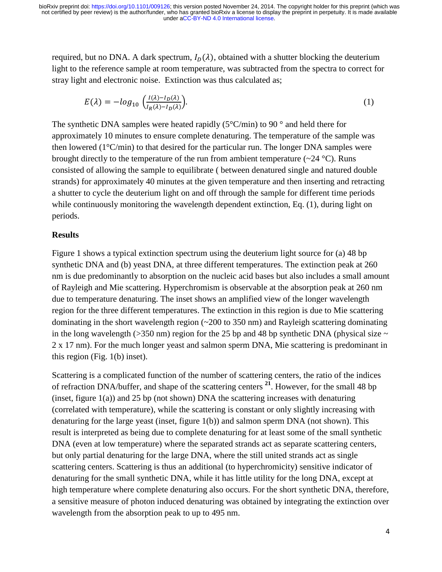required, but no DNA. A dark spectrum,  $I_D(\lambda)$ , obtained with a shutter blocking the deuterium light to the reference sample at room temperature, was subtracted from the spectra to correct for stray light and electronic noise. Extinction was thus calculated as;

$$
E(\lambda) = -\log_{10} \left( \frac{I(\lambda) - I_D(\lambda)}{I_R(\lambda) - I_D(\lambda)} \right). \tag{1}
$$

The synthetic DNA samples were heated rapidly  $(5^{\circ}C/\text{min})$  to 90  $^{\circ}$  and held there for approximately 10 minutes to ensure complete denaturing. The temperature of the sample was then lowered (1°C/min) to that desired for the particular run. The longer DNA samples were brought directly to the temperature of the run from ambient temperature  $(\sim 24 \text{ °C})$ . Runs consisted of allowing the sample to equilibrate ( between denatured single and natured double strands) for approximately 40 minutes at the given temperature and then inserting and retracting a shutter to cycle the deuterium light on and off through the sample for different time periods while continuously monitoring the wavelength dependent extinction, Eq. (1), during light on periods.

#### **Results**

Figure 1 shows a typical extinction spectrum using the deuterium light source for (a) 48 bp synthetic DNA and (b) yeast DNA, at three different temperatures. The extinction peak at 260 nm is due predominantly to absorption on the nucleic acid bases but also includes a small amount of Rayleigh and Mie scattering. Hyperchromism is observable at the absorption peak at 260 nm due to temperature denaturing. The inset shows an amplified view of the longer wavelength region for the three different temperatures. The extinction in this region is due to Mie scattering dominating in the short wavelength region (~200 to 350 nm) and Rayleigh scattering dominating in the long wavelength ( $>350$  nm) region for the 25 bp and 48 bp synthetic DNA (physical size  $\sim$ 2 x 17 nm). For the much longer yeast and salmon sperm DNA, Mie scattering is predominant in this region (Fig. 1(b) inset).

Scattering is a complicated function of the number of scattering centers, the ratio of the indices of refraction DNA/buffer, and shape of the scattering centers **<sup>21</sup>**. However, for the small 48 bp (inset, figure  $1(a)$ ) and 25 bp (not shown) DNA the scattering increases with denaturing (correlated with temperature), while the scattering is constant or only slightly increasing with denaturing for the large yeast (inset, figure 1(b)) and salmon sperm DNA (not shown). This result is interpreted as being due to complete denaturing for at least some of the small synthetic DNA (even at low temperature) where the separated strands act as separate scattering centers, but only partial denaturing for the large DNA, where the still united strands act as single scattering centers. Scattering is thus an additional (to hyperchromicity) sensitive indicator of denaturing for the small synthetic DNA, while it has little utility for the long DNA, except at high temperature where complete denaturing also occurs. For the short synthetic DNA, therefore, a sensitive measure of photon induced denaturing was obtained by integrating the extinction over wavelength from the absorption peak to up to 495 nm.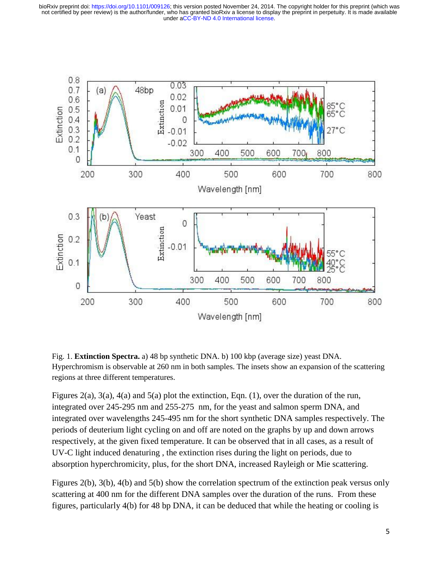

Fig. 1. **Extinction Spectra.** a) 48 bp synthetic DNA. b) 100 kbp (average size) yeast DNA. Hyperchromism is observable at 260 nm in both samples. The insets show an expansion of the scattering regions at three different temperatures.

Figures 2(a), 3(a), 4(a) and 5(a) plot the extinction, Eqn. (1), over the duration of the run, integrated over 245-295 nm and 255-275 nm, for the yeast and salmon sperm DNA, and integrated over wavelengths 245-495 nm for the short synthetic DNA samples respectively. The periods of deuterium light cycling on and off are noted on the graphs by up and down arrows respectively, at the given fixed temperature. It can be observed that in all cases, as a result of UV-C light induced denaturing , the extinction rises during the light on periods, due to absorption hyperchromicity, plus, for the short DNA, increased Rayleigh or Mie scattering.

Figures 2(b), 3(b), 4(b) and 5(b) show the correlation spectrum of the extinction peak versus only scattering at 400 nm for the different DNA samples over the duration of the runs. From these figures, particularly 4(b) for 48 bp DNA, it can be deduced that while the heating or cooling is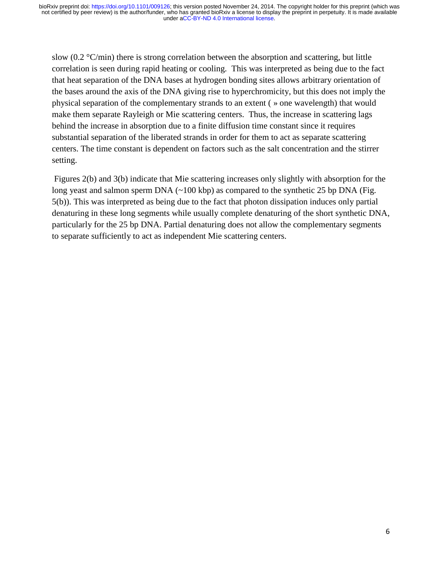slow (0.2  $\mathrm{C/min}$ ) there is strong correlation between the absorption and scattering, but little correlation is seen during rapid heating or cooling. This was interpreted as being due to the fact that heat separation of the DNA bases at hydrogen bonding sites allows arbitrary orientation of the bases around the axis of the DNA giving rise to hyperchromicity, but this does not imply the physical separation of the complementary strands to an extent ( » one wavelength) that would make them separate Rayleigh or Mie scattering centers. Thus, the increase in scattering lags behind the increase in absorption due to a finite diffusion time constant since it requires substantial separation of the liberated strands in order for them to act as separate scattering centers. The time constant is dependent on factors such as the salt concentration and the stirrer setting.

Figures 2(b) and 3(b) indicate that Mie scattering increases only slightly with absorption for the long yeast and salmon sperm DNA (~100 kbp) as compared to the synthetic 25 bp DNA (Fig. 5(b)). This was interpreted as being due to the fact that photon dissipation induces only partial denaturing in these long segments while usually complete denaturing of the short synthetic DNA, particularly for the 25 bp DNA. Partial denaturing does not allow the complementary segments to separate sufficiently to act as independent Mie scattering centers.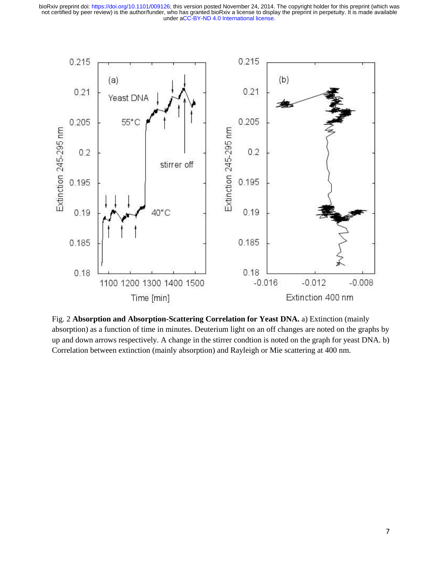

Fig. 2 **Absorption and Absorption-Scattering Correlation for Yeast DNA.** a) Extinction (mainly absorption) as a function of time in minutes. Deuterium light on an off changes are noted on the graphs by up and down arrows respectively. A change in the stirrer condtion is noted on the graph for yeast DNA. b) Correlation between extinction (mainly absorption) and Rayleigh or Mie scattering at 400 nm.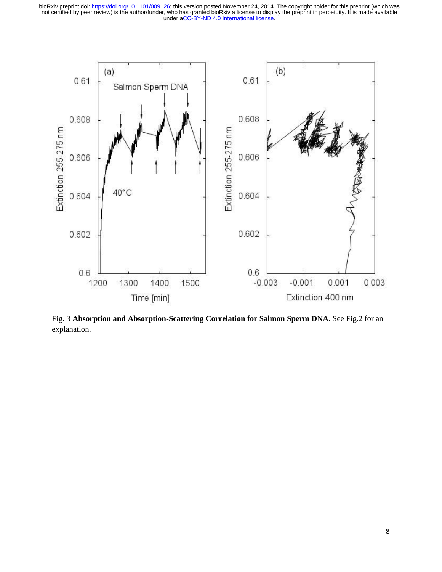

Fig. 3 **Absorption and Absorption-Scattering Correlation for Salmon Sperm DNA.** See Fig.2 for an explanation.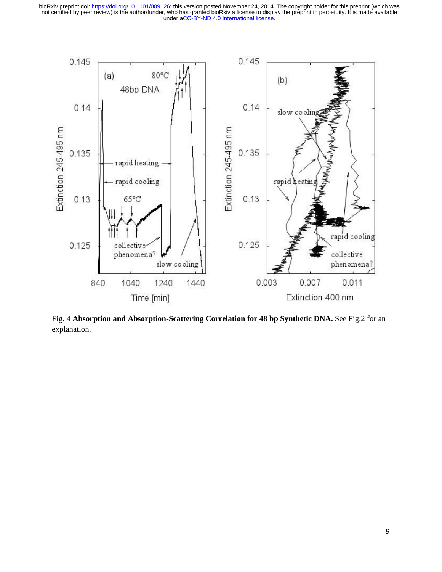

Fig. 4 **Absorption and Absorption-Scattering Correlation for 48 bp Synthetic DNA.** See Fig.2 for an explanation.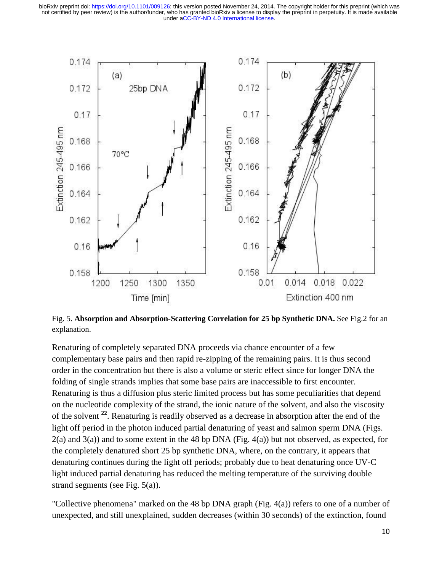

Fig. 5. **Absorption and Absorption-Scattering Correlation for 25 bp Synthetic DNA.** See Fig.2 for an explanation.

Renaturing of completely separated DNA proceeds via chance encounter of a few complementary base pairs and then rapid re-zipping of the remaining pairs. It is thus second order in the concentration but there is also a volume or steric effect since for longer DNA the folding of single strands implies that some base pairs are inaccessible to first encounter. Renaturing is thus a diffusion plus steric limited process but has some peculiarities that depend on the nucleotide complexity of the strand, the ionic nature of the solvent, and also the viscosity of the solvent **<sup>22</sup>** . Renaturing is readily observed as a decrease in absorption after the end of the light off period in the photon induced partial denaturing of yeast and salmon sperm DNA (Figs.  $2(a)$  and  $3(a)$ ) and to some extent in the 48 bp DNA (Fig. 4(a)) but not observed, as expected, for the completely denatured short 25 bp synthetic DNA, where, on the contrary, it appears that denaturing continues during the light off periods; probably due to heat denaturing once UV-C light induced partial denaturing has reduced the melting temperature of the surviving double strand segments (see Fig. 5(a)).

"Collective phenomena" marked on the 48 bp DNA graph (Fig. 4(a)) refers to one of a number of unexpected, and still unexplained, sudden decreases (within 30 seconds) of the extinction, found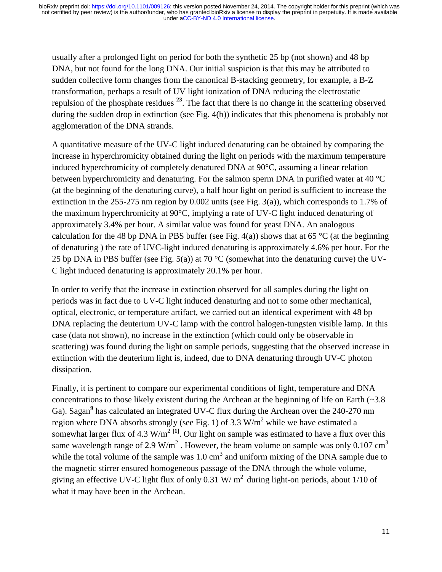usually after a prolonged light on period for both the synthetic 25 bp (not shown) and 48 bp DNA, but not found for the long DNA. Our initial suspicion is that this may be attributed to sudden collective form changes from the canonical B-stacking geometry, for example, a B-Z transformation, perhaps a result of UV light ionization of DNA reducing the electrostatic repulsion of the phosphate residues **<sup>23</sup>**. The fact that there is no change in the scattering observed during the sudden drop in extinction (see Fig. 4(b)) indicates that this phenomena is probably not agglomeration of the DNA strands.

A quantitative measure of the UV-C light induced denaturing can be obtained by comparing the increase in hyperchromicity obtained during the light on periods with the maximum temperature induced hyperchromicity of completely denatured DNA at 90°C, assuming a linear relation between hyperchromicity and denaturing. For the salmon sperm DNA in purified water at 40 °C (at the beginning of the denaturing curve), a half hour light on period is sufficient to increase the extinction in the 255-275 nm region by 0.002 units (see Fig. 3(a)), which corresponds to 1.7% of the maximum hyperchromicity at 90°C, implying a rate of UV-C light induced denaturing of approximately 3.4% per hour. A similar value was found for yeast DNA. An analogous calculation for the 48 bp DNA in PBS buffer (see Fig. 4(a)) shows that at 65 °C (at the beginning of denaturing ) the rate of UVC-light induced denaturing is approximately 4.6% per hour. For the 25 bp DNA in PBS buffer (see Fig. 5(a)) at 70  $^{\circ}$ C (somewhat into the denaturing curve) the UV-C light induced denaturing is approximately 20.1% per hour.

In order to verify that the increase in extinction observed for all samples during the light on periods was in fact due to UV-C light induced denaturing and not to some other mechanical, optical, electronic, or temperature artifact, we carried out an identical experiment with 48 bp DNA replacing the deuterium UV-C lamp with the control halogen-tungsten visible lamp. In this case (data not shown), no increase in the extinction (which could only be observable in scattering) was found during the light on sample periods, suggesting that the observed increase in extinction with the deuterium light is, indeed, due to DNA denaturing through UV-C photon dissipation.

Finally, it is pertinent to compare our experimental conditions of light, temperature and DNA concentrations to those likely existent during the Archean at the beginning of life on Earth  $(\sim 3.8)$ Ga). Sagan<sup>9</sup> has calculated an integrated UV-C flux during the Archean over the 240-270 nm region where DNA absorbs strongly (see Fig. 1) of 3.3 W/m<sup>2</sup> while we have estimated a somewhat larger flux of 4.3  $W/m<sup>2</sup>$ <sup>[1]</sup>. Our light on sample was estimated to have a flux over this same wavelength range of 2.9 W/m<sup>2</sup>. However, the beam volume on sample was only 0.107 cm<sup>3</sup> while the total volume of the sample was  $1.0 \text{ cm}^3$  and uniform mixing of the DNA sample due to the magnetic stirrer ensured homogeneous passage of the DNA through the whole volume, giving an effective UV-C light flux of only 0.31 W/ $m<sup>2</sup>$  during light-on periods, about 1/10 of what it may have been in the Archean.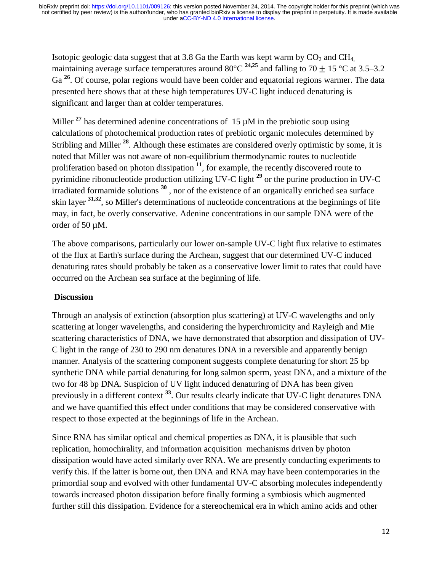Isotopic geologic data suggest that at 3.8 Ga the Earth was kept warm by  $CO<sub>2</sub>$  and  $CH<sub>4</sub>$ , maintaining average surface temperatures around  $80^{\circ}$ C  $^{24,25}$  and falling to 70  $\pm$  15 °C at 3.5–3.2 Ga<sup>26</sup>. Of course, polar regions would have been colder and equatorial regions warmer. The data presented here shows that at these high temperatures UV-C light induced denaturing is significant and larger than at colder temperatures.

Miller  $27$  has determined adenine concentrations of 15  $\mu$ M in the prebiotic soup using calculations of photochemical production rates of prebiotic organic molecules determined by Stribling and Miller <sup>28</sup>. Although these estimates are considered overly optimistic by some, it is noted that Miller was not aware of non-equilibrium thermodynamic routes to nucleotide proliferation based on photon dissipation **<sup>11</sup>**, for example, the recently discovered route to pyrimidine ribonucleotide production utilizing UV-C light **<sup>29</sup>** or the purine production in UV-C irradiated formamide solutions **<sup>30</sup>** , nor of the existence of an organically enriched sea surface skin layer **31,32** , so Miller's determinations of nucleotide concentrations at the beginnings of life may, in fact, be overly conservative. Adenine concentrations in our sample DNA were of the order of 50 µM.

The above comparisons, particularly our lower on-sample UV-C light flux relative to estimates of the flux at Earth's surface during the Archean, suggest that our determined UV-C induced denaturing rates should probably be taken as a conservative lower limit to rates that could have occurred on the Archean sea surface at the beginning of life.

## **Discussion**

Through an analysis of extinction (absorption plus scattering) at UV-C wavelengths and only scattering at longer wavelengths, and considering the hyperchromicity and Rayleigh and Mie scattering characteristics of DNA, we have demonstrated that absorption and dissipation of UV-C light in the range of 230 to 290 nm denatures DNA in a reversible and apparently benign manner. Analysis of the scattering component suggests complete denaturing for short 25 bp synthetic DNA while partial denaturing for long salmon sperm, yeast DNA, and a mixture of the two for 48 bp DNA. Suspicion of UV light induced denaturing of DNA has been given previously in a different context **<sup>33</sup>**. Our results clearly indicate that UV-C light denatures DNA and we have quantified this effect under conditions that may be considered conservative with respect to those expected at the beginnings of life in the Archean.

Since RNA has similar optical and chemical properties as DNA, it is plausible that such replication, homochirality, and information acquisition mechanisms driven by photon dissipation would have acted similarly over RNA. We are presently conducting experiments to verify this. If the latter is borne out, then DNA and RNA may have been contemporaries in the primordial soup and evolved with other fundamental UV-C absorbing molecules independently towards increased photon dissipation before finally forming a symbiosis which augmented further still this dissipation. Evidence for a stereochemical era in which amino acids and other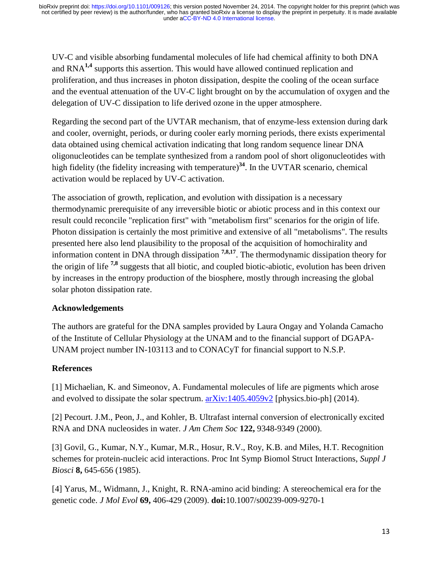UV-C and visible absorbing fundamental molecules of life had chemical affinity to both DNA and RNA**1,4** supports this assertion. This would have allowed continued replication and proliferation, and thus increases in photon dissipation, despite the cooling of the ocean surface and the eventual attenuation of the UV-C light brought on by the accumulation of oxygen and the delegation of UV-C dissipation to life derived ozone in the upper atmosphere.

Regarding the second part of the UVTAR mechanism, that of enzyme-less extension during dark and cooler, overnight, periods, or during cooler early morning periods, there exists experimental data obtained using chemical activation indicating that long random sequence linear DNA oligonucleotides can be template synthesized from a random pool of short oligonucleotides with high fidelity (the fidelity increasing with temperature)**<sup>34</sup>**. In the UVTAR scenario, chemical activation would be replaced by UV-C activation.

The association of growth, replication, and evolution with dissipation is a necessary thermodynamic prerequisite of any irreversible biotic or abiotic process and in this context our result could reconcile "replication first" with "metabolism first" scenarios for the origin of life. Photon dissipation is certainly the most primitive and extensive of all "metabolisms". The results presented here also lend plausibility to the proposal of the acquisition of homochirality and information content in DNA through dissipation **7,8,17** . The thermodynamic dissipation theory for the origin of life **7,8** suggests that all biotic, and coupled biotic-abiotic, evolution has been driven by increases in the entropy production of the biosphere, mostly through increasing the global solar photon dissipation rate.

## **Acknowledgements**

The authors are grateful for the DNA samples provided by Laura Ongay and Yolanda Camacho of the Institute of Cellular Physiology at the UNAM and to the financial support of DGAPA-UNAM project number IN-103113 and to CONACyT for financial support to N.S.P.

## **References**

[1] Michaelian, K. and Simeonov, A. Fundamental molecules of life are pigments which arose and evolved to dissipate the solar spectrum. [arXiv:1405.4059v2](http://arxiv.org/abs/1405.4059v2) [physics.bio-ph] (2014).

[2] Pecourt. J.M., Peon, J., and Kohler, B. Ultrafast internal conversion of electronically excited RNA and DNA nucleosides in water. *J Am Chem Soc* **122,** 9348-9349 (2000).

[3] Govil, G., Kumar, N.Y., Kumar, M.R., Hosur, R.V., Roy, K.B. and Miles, H.T. Recognition schemes for protein-nucleic acid interactions. Proc Int Symp Biomol Struct Interactions, *Suppl J Biosci* **8,** 645-656 (1985).

[4] Yarus, M., Widmann, J., Knight, R. RNA-amino acid binding: A stereochemical era for the genetic code. *J Mol Evol* **69,** 406-429 (2009). **doi:**10.1007/s00239-009-9270-1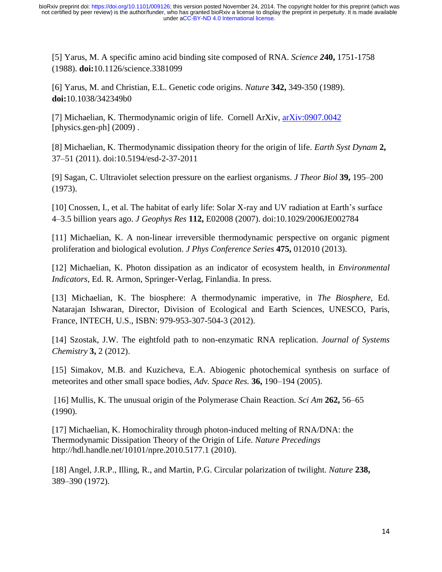[5] Yarus, M. A specific amino acid binding site composed of RNA. *Science 2***40,** 1751-1758 (1988). **doi:**10.1126/science.3381099

[6] Yarus, M. and Christian, E.L. Genetic code origins. *Nature* **342,** 349-350 (1989). **doi:**10.1038/342349b0

[7] Michaelian, K. Thermodynamic origin of life. Cornell ArXiv, [arXiv:0907.0042](http://arxiv.org/abs/0907.0042)  $[physics,gen-ph]$   $(2009)$ .

[8] Michaelian, K. Thermodynamic dissipation theory for the origin of life. *Earth Syst Dynam* **2,** 37–51 (2011). doi:10.5194/esd-2-37-2011

[9] Sagan, C. Ultraviolet selection pressure on the earliest organisms. *J Theor Biol* **39,** 195–200 (1973).

[10] Cnossen, I., et al. The habitat of early life: Solar X-ray and UV radiation at Earth's surface 4–3.5 billion years ago. *J Geophys Res* **112,** E02008 (2007). doi:10.1029/2006JE002784

[11] Michaelian, K. A non-linear irreversible thermodynamic perspective on organic pigment proliferation and biological evolution. *J Phys Conference Series* **475,** 012010 (2013).

[12] Michaelian, K. Photon dissipation as an indicator of ecosystem health, in *Environmental Indicators*, Ed. R. Armon, Springer-Verlag, Finlandia. In press.

[13] Michaelian, K. The biosphere: A thermodynamic imperative, in *The Biosphere*, Ed. Natarajan Ishwaran, Director, Division of Ecological and Earth Sciences, UNESCO, Paris, France, INTECH, U.S., ISBN: 979-953-307-504-3 (2012).

[14] Szostak, J.W. The eightfold path to non-enzymatic RNA replication. *Journal of Systems Chemistry* **3,** 2 (2012).

[15] Simakov, M.B. and Kuzicheva, E.A. Abiogenic photochemical synthesis on surface of meteorites and other small space bodies, *Adv. Space Res.* **36,** 190–194 (2005).

[16] Mullis, K. The unusual origin of the Polymerase Chain Reaction. *Sci Am* **262,** 56–65 (1990).

[17] Michaelian, K. Homochirality through photon-induced melting of RNA/DNA: the Thermodynamic Dissipation Theory of the Origin of Life. *Nature Precedings* http://hdl.handle.net/10101/npre.2010.5177.1 (2010).

[18] Angel, J.R.P., Illing, R., and Martin, P.G. Circular polarization of twilight. *Nature* **238,** 389–390 (1972).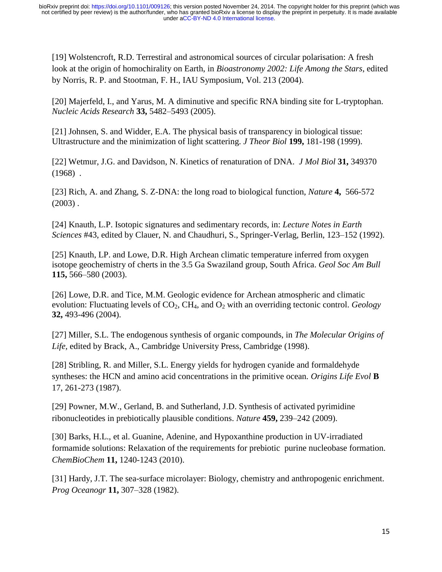[19] Wolstencroft, R.D. Terrestiral and astronomical sources of circular polarisation: A fresh look at the origin of homochirality on Earth, in *Bioastronomy 2002: Life Among the Stars*, edited by Norris, R. P. and Stootman, F. H., IAU Symposium, Vol. 213 (2004).

[20] Majerfeld, I., and Yarus, M. A diminutive and specific RNA binding site for L-tryptophan. *Nucleic Acids Research* **33,** 5482–5493 (2005).

[21] Johnsen, S. and Widder, E.A. The physical basis of transparency in biological tissue: Ultrastructure and the minimization of light scattering. *J Theor Biol* **199,** 181-198 (1999).

[22] Wetmur, J.G. and Davidson, N. Kinetics of renaturation of DNA. *J Mol Biol* **31,** 349370  $(1968)$ .

[23] Rich, A. and Zhang, S. Z-DNA: the long road to biological function, *Nature* **4,** 566-572  $(2003)$ .

[24] Knauth, L.P. Isotopic signatures and sedimentary records, in: *Lecture Notes in Earth Sciences* #43, edited by Clauer, N. and Chaudhuri, S., Springer-Verlag, Berlin, 123–152 (1992).

[25] Knauth, LP. and Lowe, D.R. High Archean climatic temperature inferred from oxygen isotope geochemistry of cherts in the 3.5 Ga Swaziland group, South Africa. *Geol Soc Am Bull* **115,** 566–580 (2003).

[26] Lowe, D.R. and Tice, M.M. Geologic evidence for Archean atmospheric and climatic evolution: Fluctuating levels of CO<sub>2</sub>, CH<sub>4</sub>, and O<sub>2</sub> with an overriding tectonic control. *Geology* **32,** 493-496 (2004).

[27] Miller, S.L. The endogenous synthesis of organic compounds, in *The Molecular Origins of Life,* edited by Brack, A., Cambridge University Press, Cambridge (1998).

[28] Stribling, R. and Miller, S.L. Energy yields for hydrogen cyanide and formaldehyde syntheses: the HCN and amino acid concentrations in the primitive ocean. *Origins Life Evol* **B**  17, 261-273 (1987).

[29] Powner, M.W., Gerland, B. and Sutherland, J.D. Synthesis of activated pyrimidine ribonucleotides in prebiotically plausible conditions. *Nature* **459,** 239–242 (2009).

[30] Barks, H.L., et al. Guanine, Adenine, and Hypoxanthine production in UV-irradiated formamide solutions: Relaxation of the requirements for prebiotic purine nucleobase formation. *ChemBioChem* **11,** 1240-1243 (2010).

[31] Hardy, J.T. The sea-surface microlayer: Biology, chemistry and anthropogenic enrichment. *Prog Oceanogr* **11,** 307–328 (1982).